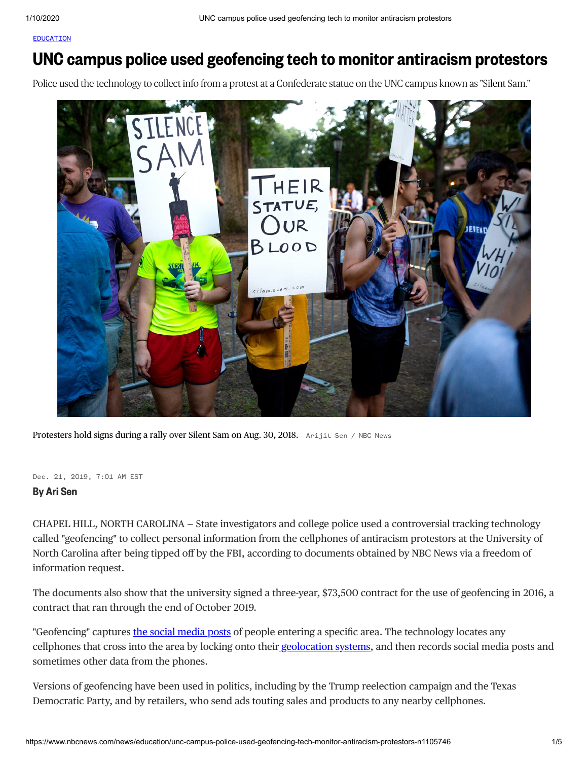# **UNC campus police used geofencing tech tomonitor antiracismprotestors**

Police used the technology to collect info from a protest at a Confederate statue on the UNC campus known as "Silent Sam."



Protesters hold signs during a rally over Silent Sam on Aug. 30, 2018. Arijit Sen / NBC News

Dec. 21, 2019, 7:01 AM EST

# **By Ari Sen**

CHAPEL HILL, NORTH CAROLINA — State investigators and college police used a controversial tracking technoloy called "geofencing" to collect personal information from the cellphones of antiracism protestors at the University of North Carolina after being tipped off by the FBI, according to documents obtained by NBC News via a freedom of information request.

The documents also show that the university signed a three-year, \$73,500 contract for the use of geofencing in 2016, a contract that ran through the end of October 2019.

"Geofencing" captures the social [media](https://www.nbcnews.com/tech/internet/facebook-twitter-instagram-block-geofeedia-tool-used-police-surveillance-n664706) posts of people entering a specific area. The technology locates any cellphones that cross into the area by locking onto their [geolocation](https://www.nbcnews.com/news/us-news/police-used-google-location-data-find-accused-bank-robber-he-n1086836) systems, and then records social media posts and sometimes other data from the phones.

Versions of geofencing have been used in politics, including by the Trump reelection campaign and the Texas Democratic Party, and by retailers, who send ads touting sales and products to any nearby cellphones.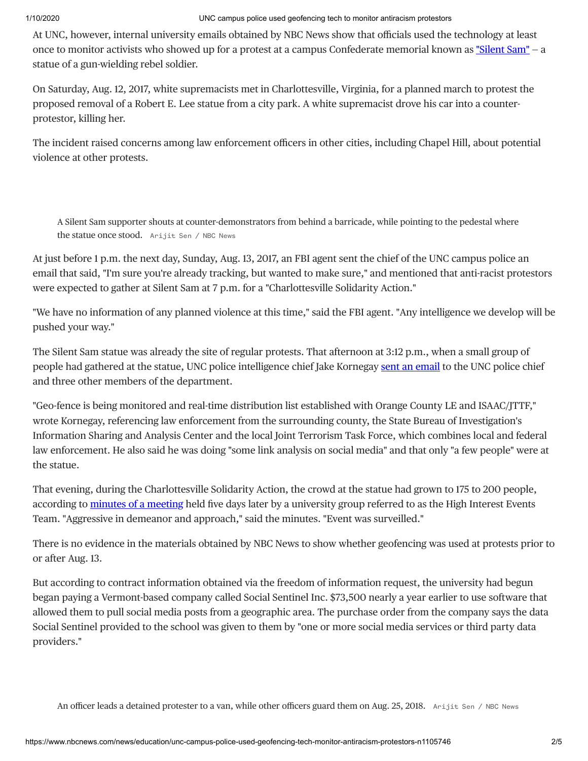### 1/10/2020 UNC campus police used geofencing tech to monitor antiracism protestors

At UNC, however, internal university emails obtained by NBC News show that officials used the technoloy at least once to monitor activists who showed up for a protest at a campus Confederate memorial known as ["Silent](https://www.nbcnews.com/news/us-news/protesters-topple-confederate-statue-silent-sam-university-north-carolina-n902396) Sam" – a statue of a gun-wielding rebel soldier.

On Saturday, Aug. 12, 2017, white supremacists met in Charlottesville, Virginia, for a planned march to protest the proposed removal of a Robert E. Lee statue from a city park. A white supremacist drove his car into a counterprotestor, killing her.

The incident raised concerns among law enforcement officers in other cities, including Chapel Hill, about potential violence at other protests.

A Silent Sam supporter shouts at counter-demonstrators from behind a barricade, while pointing to the pedestal where the statue once stood. Arijit Sen / NBC News

At just before 1 p.m. the next day, Sunday, Aug. 13, 2017, an FBI agent sent the chief of the UNC campus police an email that said, "I'm sure you're already tracking, but wanted to make sure," and mentioned that anti-racist protestors were expected to gather at Silent Sam at 7 p.m. for a "Charlottesville Solidarity Action."

"We have no information of any planned violence at this time," said the FBI agent. "Any intelligence we develop will be pushed your way."

The Silent Sam statue was already the site of regular protests. That afternoon at 3:12 p.m., when a small group of people had gathered at the statue, UNC police intelligence chief Jake Kornegay sent an [email](https://www.documentcloud.org/documents/6590195-Geofence-Email-Redacted.html) to the UNC police chief and three other members of the department.

"Geo-fence is being monitored and real-time distribution list established with Orange County LE and ISAAC/JTTF," wrote Kornegay, referencing law enforcement from the surrounding county, the State Bureau of Investigation's Information Sharing and Analysis Center and the local Joint Terrorism Task Force, which combines local and federal law enforcement. He also said he was doing "some link analysis on social media" and that only "a few people" were at the statue.

That evening, during the Charlottesville Solidarity Action, the crowd at the statue had grown to 175 to 200 people, according to minutes of a [meeting](https://www.documentcloud.org/documents/6589991-175-200.html) held five days later by a university group referred to as the High Interest Events Team. "Aggressive in demeanor and approach," said the minutes. "Event was surveilled."

There is no evidence in the materials obtained by NBC News to show whether geofencing was used at protests prior to or after Aug. 13.

But according to contract information obtained via the freedom of information request, the university had begun began paying a Vermont-based company called Social Sentinel Inc. \$73,500 nearly a year earlier to use software that allowed them to pull social media posts from a geographic area. The purchase order from the company says the data Social Sentinel provided to the school was given to them by "one or more social media services or third party data providers."

An officer leads a detained protester to a van, while other officers guard them on Aug. 25, 2018. Arijit Sen / NBC News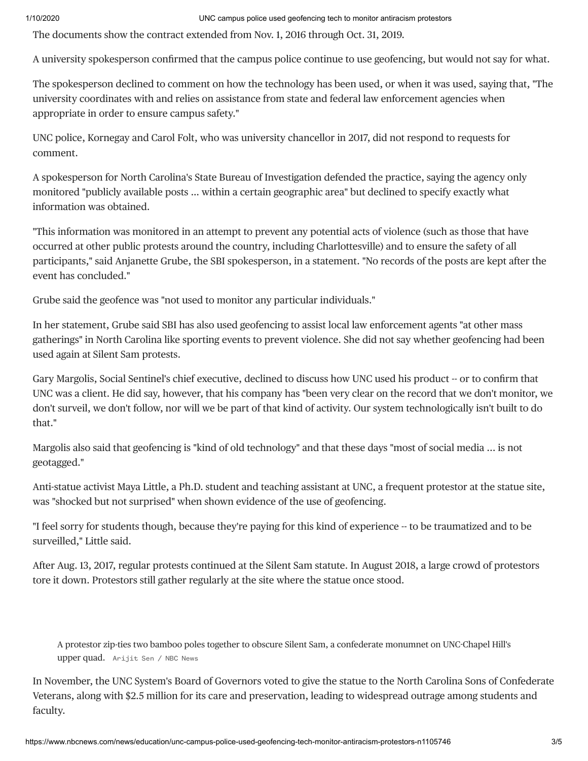### 1/10/2020 UNC campus police used geofencing tech to monitor antiracism protestors

The documents show the contract extended from Nov. 1, 2016 through Oct. 31, 2019.

A university spokesperson confirmed that the campus police continue to use geofencing, but would not say for what.

The spokesperson declined to comment on how the technoloy has been used, or when it was used, saying that, "The university coordinates with and relies on assistance from state and federal law enforcement agencies when appropriate in order to ensure campus safety."

UNC police, Kornegay and Carol Folt, who was university chancellor in 2017, did not respond to requests for comment.

A spokesperson for North Carolina's State Bureau of Investigation defended the practice, saying the agency only monitored "publicly available posts … within a certain geographic area" but declined to specify exactly what information was obtained.

"This information was monitored in an attempt to prevent any potential acts of violence (such as those that have occurred at other public protests around the country, including Charlottesville) and to ensure the safety of all participants," said Anjanette Grube, the SBI spokesperson, in a statement. "No records of the posts are kept after the event has concluded."

Grube said the geofence was "not used to monitor any particular individuals."

In her statement, Grube said SBI has also used geofencing to assist local law enforcement agents "at other mass gatherings" in North Carolina like sporting events to prevent violence. She did not say whether geofencing had been used again at Silent Sam protests.

Gary Margolis, Social Sentinel's chief executive, declined to discuss how UNC used his product -- or to confirm that UNC was a client. He did say, however, that his company has "been very clear on the record that we don't monitor, we don't surveil, we don't follow, nor will we be part of that kind of activity. Our system technologically isn't built to do that."

Margolis also said that geofencing is "kind of old technoloy" and that these days "most of social media ... is not geotagged."

Anti-statue activist Maya Little, a Ph.D. student and teaching assistant at UNC, a frequent protestor at the statue site, was "shocked but not surprised" when shown evidence of the use of geofencing.

"I feel sorry for students though, because they're paying for this kind of experience -- to be traumatized and to be surveilled," Little said.

After Aug. 13, 2017, regular protests continued at the Silent Sam statute. In August 2018, a large crowd of protestors tore it down. Protestors still gather regularly at the site where the statue once stood.

A protestor zip-ties two bamboo poles together to obscure Silent Sam, a confederate monumnet on UNC-Chapel Hill's upper quad. Arijit Sen / NBC News

<span id="page-2-0"></span>In November, the UNC System's Board of Governors voted to give the statue to the North Carolina Sons of Confederate Veterans, along with \$2.5 million for its care and preservation, leading to widespread outrage among students and faculty.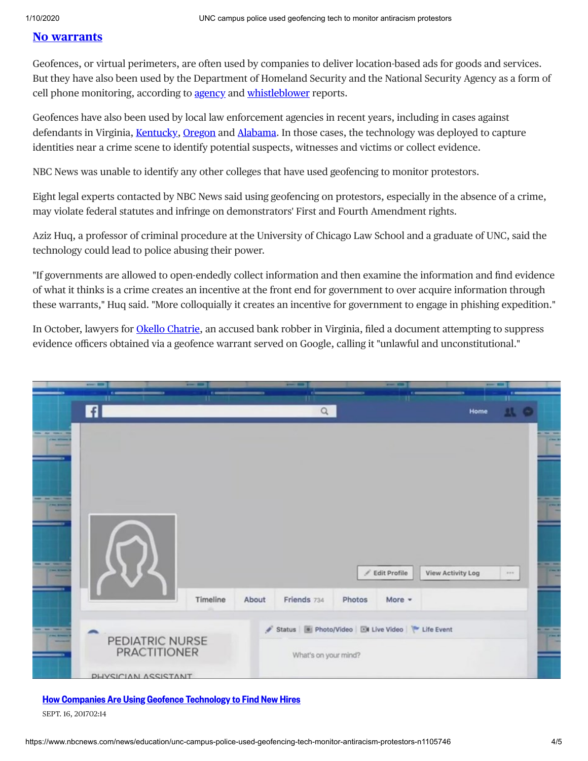# No [warrants](#page-2-0)

Geofences, or virtual perimeters, are often used by companies to deliver location-based ads for goods and services. But they have also been used by the Department of Homeland Security and the National Security Agency as a form of cell phone monitoring, according to **[agency](https://www.dhs.gov/sites/default/files/publications/privacy-pia-ops-publiclyavailablemediamonitoring-may2015.pdf)** and **[whistleblower](https://www.washingtonpost.com/sports/former-nsa-executive-agency-used-blanket-surveillance-during-2002-olympics/2017/06/02/95d288fc-47e6-11e7-98cd-af64b4fe2dfc_story.html)** reports.

Geofences have also been used by local law enforcement agencies in recent years, including in cases against defendants in Virginia, [Kentucky](https://scholar.google.com/scholar_case?case=14614880003439146294&q=geofence&hl=en&as_sdt=6,33), [Oregon](https://scholar.google.com/scholar_case?case=6548308970295197751&q=geofence&hl=en&as_sdt=6,33) and [Alabama.](https://scholar.google.com/scholar_case?case=8304507193756445892&q=geofence&hl=en&as_sdt=6,33) In those cases, the technology was deployed to capture identities near a crime scene to identify potential suspects, witnesses and victims or collect evidence.

NBC News was unable to identify any other colleges that have used geofencing to monitor protestors.

Eight legal experts contacted by NBC News said using geofencing on protestors, especially in the absence of a crime, may violate federal statutes and infringe on demonstrators' First and Fourth Amendment rights.

Aziz Huq, a professor of criminal procedure at the University of Chicago Law School and a graduate of UNC, said the technoloy could lead to police abusing their power.

"If governments are allowed to open-endedly collect information and then examine the information and find evidence of what it thinks is a crime creates an incentive at the front end for government to over acquire information through these warrants," Huq said. "More colloquially it creates an incentive for government to engage in phishing expedition."

In October, lawyers for Okello [Chatrie](https://www.nbcnews.com/news/us-news/police-used-google-location-data-find-accused-bank-robber-he-n1086836), an accused bank robber in Virginia, filed a document attempting to suppress evidence officers obtained via a geofence warrant served on Google, calling it "unlawful and unconstitutional."



## **How Companies Are Using Geofence [Technology](https://www.nbcnews.com/nightly-news/video/how-companies-are-usually-geofence-technology-to-find-new-hires-1048299587626) to Find New Hires**

SEPT. 16, 201702:14